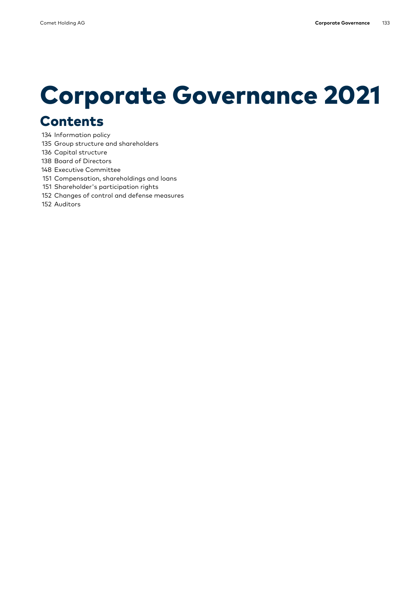# Corporate Governance 2021

# Contents

- 134 Information policy
- 135 Group structure and shareholders
- 136 Capital structure
- 138 Board of Directors
- 148 Executive Committee
- 151 Compensation, shareholdings and loans
- 151 Shareholder's participation rights
- 152 Changes of control and defense measures
- 152 Auditors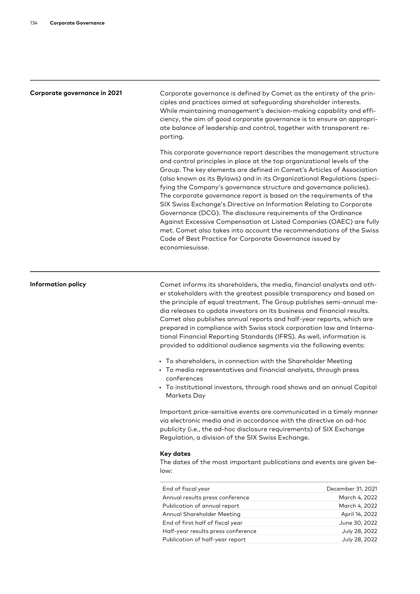Corporate governance in 2021 Corporate governance is defined by Comet as the entirety of the principles and practices aimed at safeguarding shareholder interests. While maintaining management's decision-making capability and efficiency, the aim of good corporate governance is to ensure an appropriate balance of leadership and control, together with transparent reporting.

> This corporate governance report describes the management structure and control principles in place at the top organizational levels of the Group. The key elements are defined in Comet's Articles of Association (also known as its Bylaws) and in its Organizational Regulations (speci-. fying the Company's governance structure and governance policies) The corporate governance report is based on the requirements of the SIX Swiss Exchange's Directive on Information Relating to Corporate Governance (DCG). The disclosure requirements of the Ordinance Against Excessive Compensation at Listed Companies (OAEC) are fully met. Comet also takes into account the recommendations of the Swiss Code of Best Practice for Corporate Governance issued by economiesuisse.

Information policy **Comet informs** its shareholders, the media, financial analysts and other stakeholders with the greatest possible transparency and based on the principle of equal treatment. The Group publishes semi-annual media releases to update investors on its business and financial results. Comet also publishes annual reports and half-year reports, which are prepared in compliance with Swiss stock corporation law and International Financial Reporting Standards (IFRS). As well, information is provided to additional audience segments via the following events:

- To shareholders, in connection with the Shareholder Meeting
- To media representatives and financial analysts, through press conferences
- To institutional investors, through road shows and an annual Capital Markets Day

Important price-sensitive events are communicated in a timely manner via electronic media and in accordance with the directive on ad-hoc publicity (i.e., the ad-hoc disclosure requirements) of SIX Exchange Regulation, a division of the SIX Swiss Exchange.

#### Key dates

The dates of the most important publications and events are given below:

| End of fiscal year                 | December 31, 2021 |
|------------------------------------|-------------------|
| Annual results press conference    | March 4, 2022     |
| Publication of annual report       | March 4, 2022     |
| Annual Shareholder Meeting         | April 14, 2022    |
| End of first half of fiscal year   | June 30, 2022     |
| Half-year results press conference | July 28, 2022     |
| Publication of half-year report    | July 28, 2022     |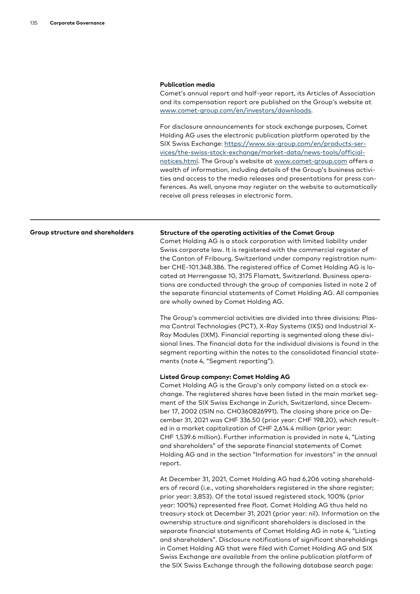#### Publication media

Comet's annual report and half-year report, its Articles of Association and its compensation report are published on the Group's website at [www.comet-group.com/en/investors/downloads](https://www.comet-group.com/en/investors/downloads).

For disclosure announcements for stock exchange purposes, Comet Holding AG uses the electronic publication platform operated by the SIX Swiss Exchange: [https://www.six-group.com/en/products-ser](https://www.six-group.com/en/products-services/the-swiss-stock-exchange/market-data/news-tools/official-notices.html)[notices.html](https://www.six-group.com/en/products-services/the-swiss-stock-exchange/market-data/news-tools/official-notices.html). The Group's website at [www.comet-group.com](https://www.comet-group.com/en/home) offers a wealth of information, including details of the Group's business activities and access to the media releases and presentations for press conferences. As well, anyone may register on the website to automatically receive all press releases in electronic form. [vices/the-swiss-stock-exchange/market-data/news-tools/official-](https://www.six-group.com/en/products-services/the-swiss-stock-exchange/market-data/news-tools/official-notices.html)

#### Group structure and shareholders Structure of the operating activities of the Comet Group

Comet Holding AG is a stock corporation with limited liability under Swiss corporate law. It is registered with the commercial register of the Canton of Fribourg, Switzerland under company registration number CHE-101.348.386. The registered office of Comet Holding AG is located at Herrengasse 10, 3175 Flamatt, Switzerland. Business operations are conducted through the group of companies listed in note 2 of the separate financial statements of Comet Holding AG. All companies are wholly owned by Comet Holding AG.

The Group's commercial activities are divided into three divisions: Plasma Control Technologies (PCT), X-Ray Systems (IXS) and Industrial X-Ray Modules (IXM). Financial reporting is segmented along these divisional lines. The financial data for the individual divisions is found in the segment reporting within the notes to the consolidated financial statements (note 4, "Segment reporting").

#### Listed Group company: Comet Holding AG

Comet Holding AG is the Group's only company listed on a stock exchange. The registered shares have been listed in the main market segment of the SIX Swiss Exchange in Zurich, Switzerland, since December 17, 2002 (ISIN no. CH0360826991). The closing share price on December 31, 2021 was CHF 336.50 (prior year: CHF 198.20), which resulted in a market capitalization of CHF 2,614.4 million (prior year: CHF 1,539.6 million). Further information is provided in note 4, "Listing and shareholders" of the separate financial statements of Comet Holding AG and in the section "Information for investors" in the annual report.

At December 31, 2021, Comet Holding AG had 6,206 voting shareholders of record (i.e., voting shareholders registered in the share register; prior year: 3,853). Of the total issued registered stock, 100% (prior year: 100%) represented free float. Comet Holding AG thus held no treasury stock at December 31, 2021 (prior year: nil). Information on the ownership structure and significant shareholders is disclosed in the separate financial statements of Comet Holding AG in note 4, "Listing and shareholders". Disclosure notifications of significant shareholdingsin Comet Holding AG that were filed with Comet Holding AG and SIX Swiss Exchange are available from the online publication platform of the SIX Swiss Exchange through the following database search page: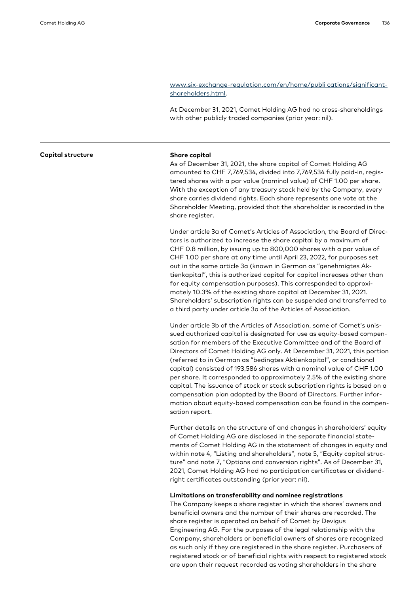### . [shareholders.html](http://www.six-exchange-regulation.com/en/home/publi%20cations/significant-shareholders.html) [www.six-exchange-regulation.com/en/home/publi cations/significant-](http://www.six-exchange-regulation.com/en/home/publi%20cations/significant-shareholders.html)

At December 31, 2021, Comet Holding AG had no cross-shareholdings with other publicly traded companies (prior year: nil).

As of December 31, 2021, the share capital of Comet Holding AG amounted to CHF 7,769,534, divided into 7,769,534 fully paid-in, registered shares with a par value (nominal value) of CHF 1.00 per share. With the exception of any treasury stock held by the Company, every share carries dividend rights. Each share represents one vote at the Shareholder Meeting, provided that the shareholder is recorded in the share register.

Under article 3a of Comet's Articles of Association, the Board of Directors is authorized to increase the share capital by a maximum of CHF 0.8 million, by issuing up to 800,000 shares with a par value of CHF 1.00 per share at any time until April 23, 2022, for purposes set out in the same article 3a (known in German as "genehmigtes Aktienkapital", this is authorized capital for capital increases other than for equity compensation purposes). This corresponded to approximately 10.3% of the existing share capital at December 31, 2021. Shareholders' subscription rights can be suspended and transferred to a third party under article 3a of the Articles of Association.

Under article 3b of the Articles of Association, some of Comet's unissued authorized capital is designated for use as equity-based compensation for members of the Executive Committee and of the Board of Directors of Comet Holding AG only. At December 31, 2021, this portion (referred to in German as "bedingtes Aktienkapital", or conditional capital) consisted of 193,586 shares with a nominal value of CHF 1.00 per share. It corresponded to approximately 2.5% of the existing share capital. The issuance of stock or stock subscription rights is based on a compensation plan adopted by the Board of Directors. Further information about equity-based compensation can be found in the compensation report.

Further details on the structure of and changes in shareholders' equity of Comet Holding AG are disclosed in the separate financial statements of Comet Holding AG in the statement of changes in equity and within note 4, "Listing and shareholders", note 5, "Equity capital structure" and note 7, "Options and conversion rights". As of December 31, 2021, Comet Holding AG had no participation certificates or dividendright certificates outstanding (prior year: nil).

### Limitations on transferability and nominee registrations

The Company keeps a share register in which the shares' owners and beneficial owners and the number of their shares are recorded. The share register is operated on behalf of Comet by Devigus Engineering AG. For the purposes of the legal relationship with the Company, shareholders or beneficial owners of shares are recognized as such only if they are registered in the share register. Purchasers of registered stock or of beneficial rights with respect to registered stock are upon their request recorded as voting shareholders in the share

#### Capital structure Share capital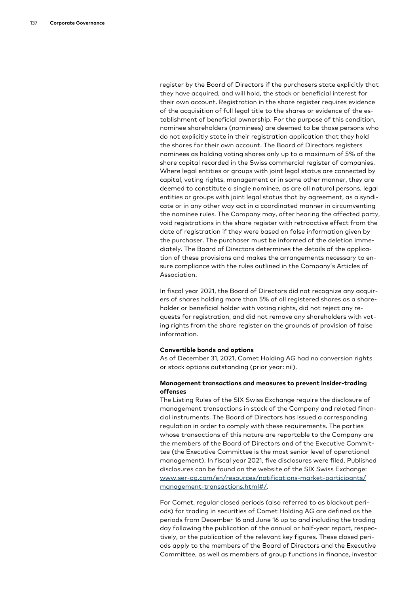register by the Board of Directors if the purchasers state explicitly that they have acquired, and will hold, the stock or beneficial interest for their own account. Registration in the share register requires evidence of the acquisition of full legal title to the shares or evidence of the establishment of beneficial ownership. For the purpose of this condition, nominee shareholders (nominees) are deemed to be those persons who do not explicitly state in their registration application that they hold the shares for their own account. The Board of Directors registers nominees as holding voting shares only up to a maximum of 5% of the share capital recorded in the Swiss commercial register of companies. Where legal entities or groups with joint legal status are connected by capital, voting rights, management or in some other manner, they are deemed to constitute a single nominee, as are all natural persons, legal entities or groups with joint legal status that by agreement, as a syndicate or in any other way act in a coordinated manner in circumventing the nominee rules. The Company may, after hearing the affected party, void registrations in the share register with retroactive effect from the date of registration if they were based on false information given by the purchaser. The purchaser must be informed of the deletion immediately. The Board of Directors determines the details of the application of these provisions and makes the arrangements necessary to ensure compliance with the rules outlined in the Company's Articles of Association.

In fiscal year 2021, the Board of Directors did not recognize any acquirers of shares holding more than 5% of all registered shares as a shareholder or beneficial holder with voting rights, did not reject any requests for registration, and did not remove any shareholders with voting rights from the share register on the grounds of provision of false information.

#### Convertible bonds and options

As of December 31, 2021, Comet Holding AG had no conversion rights or stock options outstanding (prior year: nil).

#### Management transactions and measures to prevent insider-trading offenses

The Listing Rules of the SIX Swiss Exchange require the disclosure of management transactions in stock of the Company and related financial instruments. The Board of Directors has issued a corresponding regulation in order to comply with these requirements. The parties whose transactions of this nature are reportable to the Company are the members of the Board of Directors and of the Executive Committee (the Executive Committee is the most senior level of operational management). In fiscal year 2021, five disclosures were filed. Published disclosures can be found on the website of the SIX Swiss Exchange: . [management-transactions.html#/](http://www.ser-ag.com/en/resources/notifications-market-participants/management-transactions.html#/) [www.ser-ag.com/en/resources/notifications-market-participants/](http://www.ser-ag.com/en/resources/notifications-market-participants/management-transactions.html#/)

For Comet, regular closed periods (also referred to as blackout periods) for trading in securities of Comet Holding AG are defined as the periods from December 16 and June 16 up to and including the trading day following the publication of the annual or half-year report, respectively, or the publication of the relevant key figures. These closed periods apply to the members of the Board of Directors and the Executive Committee, as well as members of group functions in finance, investor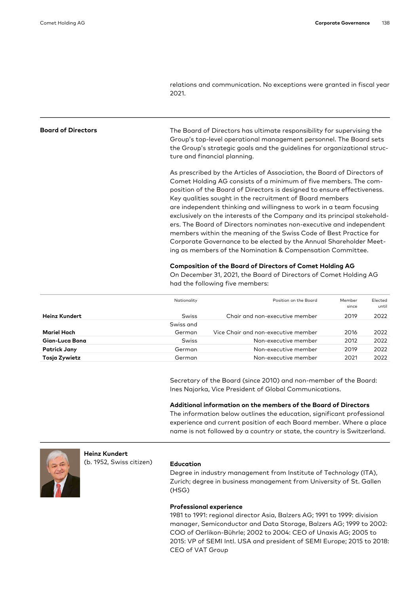relations and communication. No exceptions were granted in fiscal year 2021.

Board of Directors The Board of Directors has ultimate responsibility for supervising the Group's top-level operational management personnel. The Board sets the Group's strategic goals and the guidelines for organizational structure and financial planning.

> As prescribed by the Articles of Association, the Board of Directors of Comet Holding AG consists of a minimum of five members. The composition of the Board of Directors is designed to ensure effectiveness. Key qualities sought in the recruitment of Board members are independent thinking and willingness to work in a team focusing exclusively on the interests of the Company and its principal stakeholders. The Board of Directors nominates non-executive and independent members within the meaning of the Swiss Code of Best Practice for Corporate Governance to be elected by the Annual Shareholder Meeting as members of the Nomination & Compensation Committee.

#### Composition of the Board of Directors of Comet Holding AG

On December 31, 2021, the Board of Directors of Comet Holding AG had the following five members:

|                      | Nationality  | Position on the Board               | Member<br>since | Elected<br>until |
|----------------------|--------------|-------------------------------------|-----------------|------------------|
| <b>Heinz Kundert</b> | Swiss        | Chair and non-executive member      | 2019            | 2022             |
|                      | Swiss and    |                                     |                 |                  |
| Mariel Hoch          | German       | Vice Chair and non-executive member | 2016            | 2022             |
| Gian-Luca Bona       | <b>Swiss</b> | Non-executive member                | 2012            | 2022             |
| <b>Patrick Jany</b>  | German       | Non-executive member                | 2019            | 2022             |
| Tosja Zywietz        | German       | Non-executive member                | 2021            | 2022             |
|                      |              |                                     |                 |                  |

Secretary of the Board (since 2010) and non-member of the Board: Ines Najorka, Vice President of Global Communications.

#### Additional information on the members of the Board of Directors

The information below outlines the education, significant professional experience and current position of each Board member. Where a place name is not followed by a country or state, the country is Switzerland.



Heinz Kundert

# (b. 1952, Swiss citizen) Education

Degree in industry management from Institute of Technology (ITA), Zurich; degree in business management from University of St. Gallen (HSG)

#### Professional experience

1981 to 1991: regional director Asia, Balzers AG; 1991 to 1999: division manager, Semiconductor and Data Storage, Balzers AG; 1999 to 2002: COO of Oerlikon-Bührle; 2002 to 2004: CEO of Unaxis AG; 2005 to 2015: VP of SEMI Intl. USA and president of SEMI Europe; 2015 to 2018: CEO of VAT Group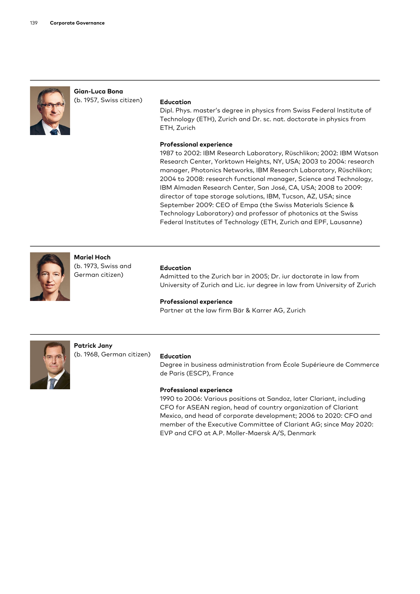

### Gian-Luca Bona (b. 1957, Swiss citizen) Education

Dipl. Phys. master's degree in physics from Swiss Federal Institute of Technology (ETH), Zurich and Dr. sc. nat. doctorate in physics from ETH, Zurich

#### Professional experience

1987 to 2002: IBM Research Laboratory, Rüschlikon; 2002: IBM Watson Research Center, Yorktown Heights, NY, USA; 2003 to 2004: research manager, Photonics Networks, IBM Research Laboratory, Rüschlikon; 2004 to 2008: research functional manager, Science and Technology, IBM Almaden Research Center, San José, CA, USA; 2008 to 2009: director of tape storage solutions, IBM, Tucson, AZ, USA; since September 2009: CEO of Empa (the Swiss Materials Science & Technology Laboratory) and professor of photonics at the Swiss Federal Institutes of Technology (ETH, Zurich and EPF, Lausanne)



Mariel Hoch (b. 1973, Swiss and German citizen)

#### Education

Admitted to the Zurich bar in 2005; Dr. iur doctorate in law from University of Zurich and Lic. iur degree in law from University of Zurich

#### Professional experience

Partner at the law firm Bär & Karrer AG, Zurich



Patrick Jany (b. 1968, German citizen) Education

Degree in business administration from École Supérieure de Commerce de Paris (ESCP), France

#### Professional experience

1990 to 2006: Various positions at Sandoz, later Clariant, including CFO for ASEAN region, head of country organization of Clariant Mexico, and head of corporate development; 2006 to 2020: CFO and member of the Executive Committee of Clariant AG; since May 2020: EVP and CFO at A.P. Moller-Maersk A/S, Denmark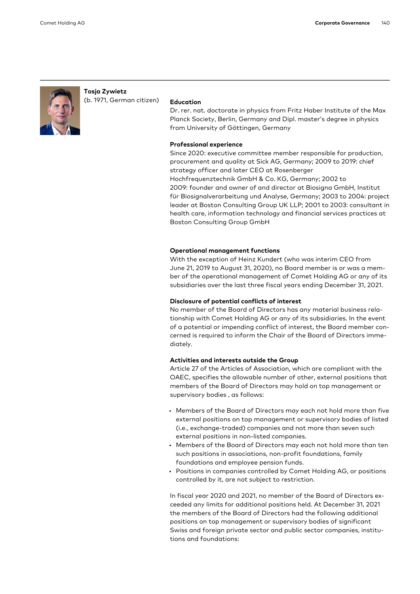

# Tosja Zywietz (b. 1971, German citizen) Education

Dr. rer. nat. doctorate in physics from Fritz Haber Institute of the Max Planck Society, Berlin, Germany and Dipl. master's degree in physics from University of Göttingen, Germany

#### Professional experience

Since 2020: executive committee member responsible for production, procurement and quality at Sick AG, Germany; 2009 to 2019: chief strategy officer and later CEO at Rosenberger Hochfrequenztechnik GmbH & Co. KG, Germany; 2002 to 2009: founder and owner of and director at Biosigna GmbH, Institut für Biosignalverarbeitung und Analyse, Germany; 2003 to 2004: project leader at Boston Consulting Group UK LLP; 2001 to 2003: consultant in health care, information technology and financial services practices at Boston Consulting Group GmbH

#### Operational management functions

With the exception of Heinz Kundert (who was interim CEO from June 21, 2019 to August 31, 2020), no Board member is or was a member of the operational management of Comet Holding AG or any of its subsidiaries over the last three fiscal years ending December 31, 2021.

#### Disclosure of potential conflicts of interest

No member of the Board of Directors has any material business relationship with Comet Holding AG or any of its subsidiaries. In the event of a potential or impending conflict of interest, the Board member concerned is required to inform the Chair of the Board of Directors immediately.

#### Activities and interests outside the Group

Article 27 of the Articles of Association, which are compliant with the OAEC, specifies the allowable number of other, external positions that members of the Board of Directors may hold on top management or supervisory bodies, as follows:

- Members of the Board of Directors may each not hold more than five external positions on top management or supervisory bodies of listed (i.e., exchange-traded) companies and not more than seven such external positions in non-listed companies.
- Members of the Board of Directors may each not hold more than ten such positions in associations, non-profit foundations, family foundations and employee pension funds.
- Positions in companies controlled by Comet Holding AG, or positions controlled by it, are not subject to restriction.

In fiscal year 2020 and 2021, no member of the Board of Directors exceeded any limits for additional positions held. At December 31, 2021 the members of the Board of Directors had the following additional positions on top management or supervisory bodies of significant Swiss and foreign private sector and public sector companies, institutions and foundations: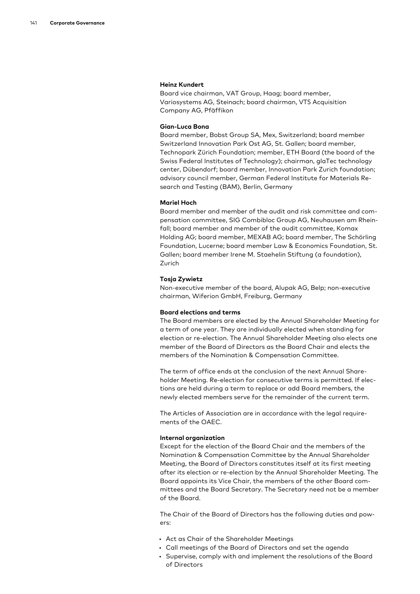#### Heinz Kundert

Board vice chairman, VAT Group, Haag; board member, Variosystems AG, Steinach; board chairman, VT5 Acquisition Company AG, Pfäffikon

#### Gian-Luca Bona

Board member, Bobst Group SA, Mex, Switzerland; board member Switzerland Innovation Park Ost AG, St. Gallen; board member, Technopark Zürich Foundation; member, ETH Board (the board of the Swiss Federal Institutes of Technology); chairman, glaTec technology center, Dübendorf; board member, Innovation Park Zurich foundation; advisory council member, German Federal Institute for Materials Research and Testing (BAM), Berlin, Germany

#### Mariel Hoch

Board member and member of the audit and risk committee and compensation committee, SIG Combibloc Group AG, Neuhausen am Rheinfall; board member and member of the audit committee, Komax Holding AG; board member, MEXAB AG; board member, The Schörling Foundation, Lucerne; board member Law & Economics Foundation, St. Gallen; board member Irene M. Staehelin Stiftung (a foundation), Zurich

#### Tosja Zywietz

Non-executive member of the board, Alupak AG, Belp; non-executive chairman, Wiferion GmbH, Freiburg, Germany

#### Board elections and terms

The Board members are elected by the Annual Shareholder Meeting for a term of one year. They are individually elected when standing for election or re-election. The Annual Shareholder Meeting also elects one member of the Board of Directors as the Board Chair and elects the members of the Nomination & Compensation Committee.

The term of office ends at the conclusion of the next Annual Shareholder Meeting. Re-election for consecutive terms is permitted. If elections are held during a term to replace or add Board members, the newly elected members serve for the remainder of the current term.

The Articles of Association are in accordance with the legal requirements of the OAEC.

#### Internal organization

Except for the election of the Board Chair and the members of the Nomination & Compensation Committee by the Annual Shareholder Meeting, the Board of Directors constitutes itself at its first meeting after its election or re-election by the Annual Shareholder Meeting. The Board appoints its Vice Chair, the members of the other Board committees and the Board Secretary. The Secretary need not be a member of the Board.

The Chair of the Board of Directors has the following duties and powers:

- Act as Chair of the Shareholder Meetings
- Call meetings of the Board of Directors and set the agenda
- Supervise, comply with and implement the resolutions of the Board of Directors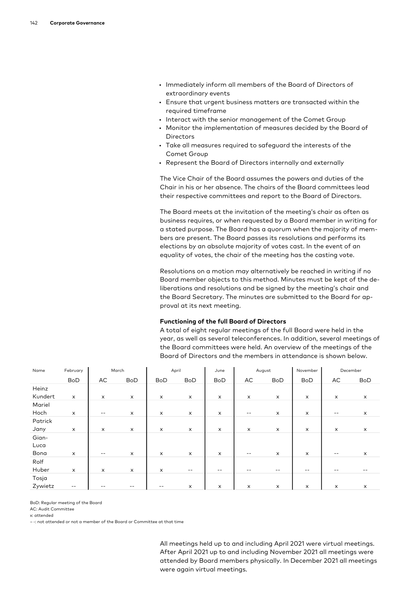- Immediately inform all members of the Board of Directors of extraordinary events
- Ensure that urgent business matters are transacted within the required timeframe
- Interact with the senior management of the Comet Group
- Monitor the implementation of measures decided by the Board of Directors
- Take all measures required to safeguard the interests of the Comet Group
- Represent the Board of Directors internally and externally

The Vice Chair of the Board assumes the powers and duties of the Chair in his or her absence. The chairs of the Board committees lead their respective committees and report to the Board of Directors.

The Board meets at the invitation of the meeting's chair as often as business requires, or when requested by a Board member in writing for a stated purpose. The Board has a quorum when the majority of members are present. The Board passes its resolutions and performs its elections by an absolute majority of votes cast. In the event of an equality of votes, the chair of the meeting has the casting vote.

Resolutions on a motion may alternatively be reached in writing if no Board member objects to this method. Minutes must be kept of the deliberations and resolutions and be signed by the meeting's chair and the Board Secretary. The minutes are submitted to the Board for approval at its next meeting.

### Functioning of the full Board of Directors

A total of eight regular meetings of the full Board were held in the year, as well as several teleconferences. In addition, several meetings of the Board committees were held. An overview of the meetings of the Board of Directors and the members in attendance is shown below.

| Name    | February                  | March                     |                | April                     |                          | June       | August                    |            | November       | December |                |
|---------|---------------------------|---------------------------|----------------|---------------------------|--------------------------|------------|---------------------------|------------|----------------|----------|----------------|
|         | BoD                       | AC                        | <b>BoD</b>     | <b>BoD</b>                | <b>BoD</b>               | <b>BoD</b> | AC                        | <b>BoD</b> | <b>BoD</b>     | AC       | <b>BoD</b>     |
| Heinz   |                           |                           |                |                           |                          |            |                           |            |                |          |                |
| Kundert | $\pmb{\times}$            | X                         | x              | X                         | x                        | X          | X                         | x          | x              | X        | $\pmb{\times}$ |
| Mariel  |                           |                           |                |                           |                          |            |                           |            |                |          |                |
| Hoch    | $\boldsymbol{\mathsf{x}}$ | $- -$                     | x              | X                         | x                        | x          | $ -$                      | x          | x              | $- -$    | $\pmb{\times}$ |
| Patrick |                           |                           |                |                           |                          |            |                           |            |                |          |                |
| Jany    | $\boldsymbol{\mathsf{x}}$ | $\boldsymbol{\mathsf{x}}$ | $\pmb{\times}$ | $\boldsymbol{\mathsf{x}}$ | X                        | X          | $\boldsymbol{\mathsf{x}}$ | x          | $\pmb{\times}$ | X        | $\pmb{\times}$ |
| Gian-   |                           |                           |                |                           |                          |            |                           |            |                |          |                |
| Luca    |                           |                           |                |                           |                          |            |                           |            |                |          |                |
| Bona    | X                         | $- -$                     | X              | $\boldsymbol{\mathsf{x}}$ | x                        | X          | $- -$                     | $\times$   | X              | $ -$     | x              |
| Rolf    |                           |                           |                |                           |                          |            |                           |            |                |          |                |
| Huber   | X                         | X                         | x              | $\boldsymbol{\mathsf{x}}$ | $\overline{\phantom{m}}$ | $- -$      |                           |            | --             |          |                |
| Tosja   |                           |                           |                |                           |                          |            |                           |            |                |          |                |
| Zywietz | $ -$                      |                           | $- -$          | $- -$                     | X                        | X          | $\boldsymbol{\mathsf{x}}$ | $\times$   | x              | X        | x              |

BoD: Regular meeting of the Board

AC: Audit Committee

x: attended

– -: not attended or not a member of the Board or Committee at that time

All meetings held up to and including April 2021 were virtual meetings. After April 2021 up to and including November 2021 all meetings were attended by Board members physically. In December 2021 all meetings were again virtual meetings.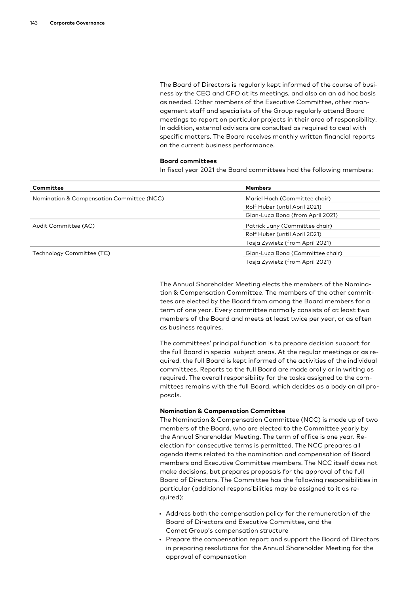The Board of Directors is regularly kept informed of the course of business by the CEO and CFO at its meetings, and also on an ad hoc basis as needed. Other members of the Executive Committee, other management staff and specialists of the Group regularly attend Board meetings to report on particular projects in their area of responsibility. In addition, external advisors are consulted as required to deal with specific matters. The Board receives monthly written financial reports on the current business performance.

#### Board committees

In fiscal year 2021 the Board committees had the following members:

| Committee                                 | <b>Members</b>                   |  |  |
|-------------------------------------------|----------------------------------|--|--|
| Nomination & Compensation Committee (NCC) | Mariel Hoch (Committee chair)    |  |  |
|                                           | Rolf Huber (until April 2021)    |  |  |
|                                           | Gian-Luca Bona (from April 2021) |  |  |
| Audit Committee (AC)                      | Patrick Jany (Committee chair)   |  |  |
|                                           | Rolf Huber (until April 2021)    |  |  |
|                                           | Tosja Zywietz (from April 2021)  |  |  |
| Technology Committee (TC)                 | Gian-Luca Bona (Committee chair) |  |  |
|                                           | Tosja Zywietz (from April 2021)  |  |  |

The Annual Shareholder Meeting elects the members of the Nomination & Compensation Committee. The members of the other committees are elected by the Board from among the Board members for a term of one year. Every committee normally consists of at least two members of the Board and meets at least twice per year, or as often as business requires.

The committees' principal function is to prepare decision support for the full Board in special subject areas. At the regular meetings or as required, the full Board is kept informed of the activities of the individual committees. Reports to the full Board are made orally or in writing as required. The overall responsibility for the tasks assigned to the committees remains with the full Board, which decides as a body on all proposals.

#### Nomination & Compensation Committee

The Nomination & Compensation Committee (NCC) is made up of two members of the Board, who are elected to the Committee yearly by the Annual Shareholder Meeting. The term of office is one year. Reelection for consecutive terms is permitted. The NCC prepares all agenda items related to the nomination and compensation of Board members and Executive Committee members. The NCC itself does not make decisions, but prepares proposals for the approval of the full Board of Directors. The Committee has the following responsibilities in particular (additional responsibilities may be assigned to it as required):

- Address both the compensation policy for the remuneration of the Board of Directors and Executive Committee, and the Comet Group's compensation structure
- Prepare the compensation report and support the Board of Directors in preparing resolutions for the Annual Shareholder Meeting for the approval of compensation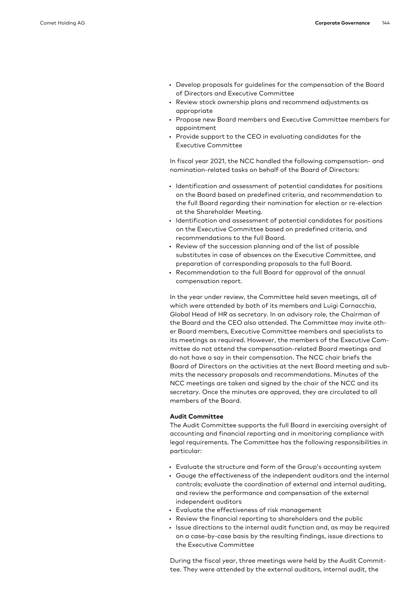- Develop proposals for guidelines for the compensation of the Board of Directors and Executive Committee
- Review stock ownership plans and recommend adjustments as appropriate
- Propose new Board members and Executive Committee members for appointment
- Provide support to the CEO in evaluating candidates for the Executive Committee

In fiscal year 2021, the NCC handled the following compensation- and nomination-related tasks on behalf of the Board of Directors:

- Identification and assessment of potential candidates for positions on the Board based on predefined criteria, and recommendation to the full Board regarding their nomination for election or re-election at the Shareholder Meeting.
- Identification and assessment of potential candidates for positions on the Executive Committee based on predefined criteria, and recommendations to the full Board.
- Review of the succession planning and of the list of possible substitutes in case of absences on the Executive Committee, and preparation of corresponding proposals to the full Board.
- Recommendation to the full Board for approval of the annual compensation report.

In the year under review, the Committee held seven meetings, all of which were attended by both of its members and Luigi Cornacchia, Global Head of HR as secretary. In an advisory role, the Chairman of the Board and the CEO also attended. The Committee may invite other Board members, Executive Committee members and specialists to its meetings as required. However, the members of the Executive Committee do not attend the compensation-related Board meetings and do not have a say in their compensation. The NCC chair briefs the Board of Directors on the activities at the next Board meeting and submits the necessary proposals and recommendations. Minutes of the NCC meetings are taken and signed by the chair of the NCC and its secretary. Once the minutes are approved, they are circulated to all members of the Board.

#### Audit Committee

The Audit Committee supports the full Board in exercising oversight of accounting and financial reporting and in monitoring compliance with legal requirements. The Committee has the following responsibilities in particular:

- Evaluate the structure and form of the Group's accounting system
- Gauge the effectiveness of the independent auditors and the internal controls; evaluate the coordination of external and internal auditing, and review the performance and compensation of the external independent auditors
- Evaluate the effectiveness of risk management
- Review the financial reporting to shareholders and the public
- Issue directions to the internal audit function and, as may be required on a case-by-case basis by the resulting findings, issue directions to the Executive Committee

During the fiscal year, three meetings were held by the Audit Committee. They were attended by the external auditors, internal audit, the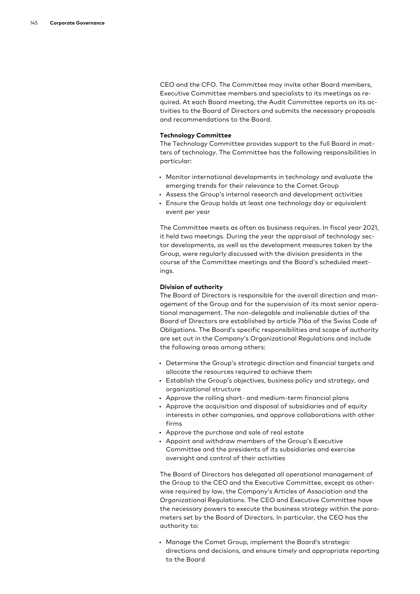CEO and the CFO. The Committee may invite other Board members, Executive Committee members and specialists to its meetings as required. At each Board meeting, the Audit Committee reports on its activities to the Board of Directors and submits the necessary proposals and recommendations to the Board.

#### Technology Committee

The Technology Committee provides support to the full Board in matters of technology. The Committee has the following responsibilities in particular:

- Monitor international developments in technology and evaluate the emerging trends for their relevance to the Comet Group
- Assess the Group's internal research and development activities
- Ensure the Group holds at least one technology day or equivalent event per year

The Committee meets as often as business requires. In fiscal year 2021, it held two meetings. During the year the appraisal of technology sector developments, as well as the development measures taken by the Group, were regularly discussed with the division presidents in the course of the Committee meetings and the Board's scheduled meetings.

#### Division of authority

The Board of Directors is responsible for the overall direction and management of the Group and for the supervision of its most senior operational management. The non-delegable and inalienable duties of the Board of Directors are established by article 716a of the Swiss Code of Obligations. The Board's specific responsibilities and scope of authority are set out in the Company's Organizational Regulations and include the following areas among others:

- Determine the Group's strategic direction and financial targets and allocate the resources required to achieve them
- Establish the Group's objectives, business policy and strategy, and organizational structure
- Approve the rolling short- and medium-term financial plans
- Approve the acquisition and disposal of subsidiaries and of equity interests in other companies, and approve collaborations with other firms
- Approve the purchase and sale of real estate
- Appoint and withdraw members of the Group's Executive Committee and the presidents of its subsidiaries and exercise oversight and control of their activities

The Board of Directors has delegated all operational management of the Group to the CEO and the Executive Committee, except as otherwise required by law, the Company's Articles of Association and the Organizational Regulations. The CEO and Executive Committee have the necessary powers to execute the business strategy within the parameters set by the Board of Directors. In particular, the CEO has the authority to:

• Manage the Comet Group, implement the Board's strategic directions and decisions, and ensure timely and appropriate reporting to the Board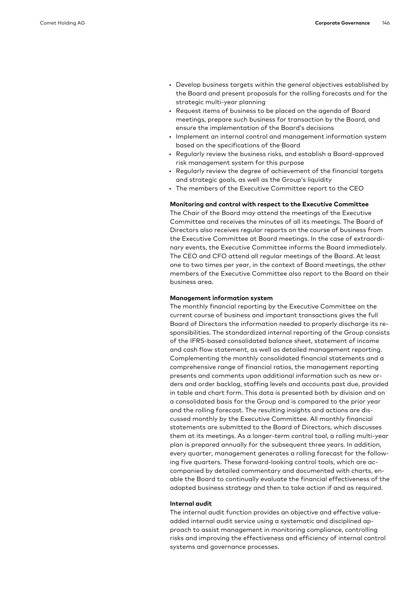- Develop business targets within the general objectives established by the Board and present proposals for the rolling forecasts and for the strategic multi-year planning
- Request items of business to be placed on the agenda of Board meetings, prepare such business for transaction by the Board, and ensure the implementation of the Board's decisions
- Implement an internal control and management information system based on the specifications of the Board
- Regularly review the business risks, and establish a Board-approved risk management system for this purpose
- Regularly review the degree of achievement of the financial targets and strategic goals, as well as the Group's liquidity
- The members of the Executive Committee report to the CEO

#### Monitoring and control with respect to the Executive Committee

The Chair of the Board may attend the meetings of the Executive Committee and receives the minutes of all its meetings. The Board of Directors also receives regular reports on the course of business from the Executive Committee at Board meetings. In the case of extraordinary events, the Executive Committee informs the Board immediately. The CEO and CFO attend all regular meetings of the Board. At least one to two times per year, in the context of Board meetings, the other members of the Executive Committee also report to the Board on their business area.

#### Management information system

The monthly financial reporting by the Executive Committee on the current course of business and important transactions gives the full Board of Directors the information needed to properly discharge its responsibilities. The standardized internal reporting of the Group consists of the IFRS-based consolidated balance sheet, statement of income and cash flow statement, as well as detailed management reporting. Complementing the monthly consolidated financial statements and a comprehensive range of financial ratios, the management reporting presents and comments upon additional information such as new orders and order backlog, staffing levels and accounts past due, provided in table and chart form. This data is presented both by division and on a consolidated basis for the Group and is compared to the prior year and the rolling forecast. The resulting insights and actions are discussed monthly by the Executive Committee. All monthly financial statements are submitted to the Board of Directors, which discusses them at its meetings. As a longer-term control tool, a rolling multi-year plan is prepared annually for the subsequent three years. In addition, every quarter, management generates a rolling forecast for the following five quarters. These forward-looking control tools, which are accompanied by detailed commentary and documented with charts, enable the Board to continually evaluate the financial effectiveness of the adopted business strategy and then to take action if and as required.

#### Internal audit

The internal audit function provides an objective and effective valueadded internal audit service using a systematic and disciplined approach to assist management in monitoring compliance, controlling risks and improving the effectiveness and efficiency of internal control systems and governance processes.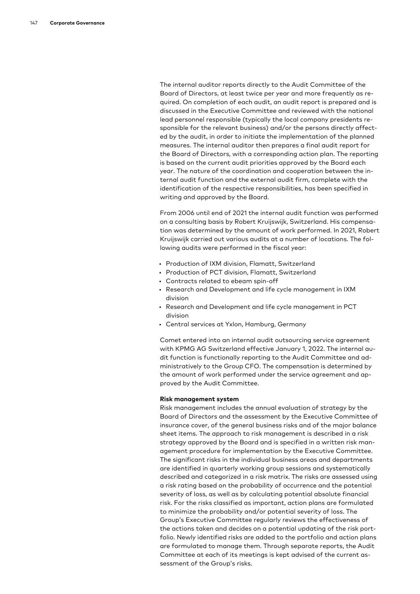The internal auditor reports directly to the Audit Committee of the Board of Directors, at least twice per year and more frequently as required. On completion of each audit, an audit report is prepared and is discussed in the Executive Committee and reviewed with the national lead personnel responsible (typically the local company presidents responsible for the relevant business) and/or the persons directly affected by the audit, in order to initiate the implementation of the planned measures. The internal auditor then prepares a final audit report for the Board of Directors, with a corresponding action plan. The reporting is based on the current audit priorities approved by the Board each year. The nature of the coordination and cooperation between the internal audit function and the external audit firm, complete with the identification of the respective responsibilities, has been specified in writing and approved by the Board.

From 2006 until end of 2021 the internal audit function was performed on a consulting basis by Robert Kruijswijk, Switzerland. His compensation was determined by the amount of work performed. In 2021, Robert Kruijswijk carried out various audits at a number of locations. The following audits were performed in the fiscal year:

- Production of IXM division, Flamatt, Switzerland
- Production of PCT division, Flamatt, Switzerland
- Contracts related to ebeam spin-off
- Research and Development and life cycle management in IXM division
- Research and Development and life cycle management in PCT division
- Central services at Yxlon, Hamburg, Germany

Comet entered into an internal audit outsourcing service agreement with KPMG AG Switzerland effective January 1, 2022. The internal audit function is functionally reporting to the Audit Committee and administratively to the Group CFO. The compensation is determined by the amount of work performed under the service agreement and approved by the Audit Committee.

#### Risk management system

Risk management includes the annual evaluation of strategy by the Board of Directors and the assessment by the Executive Committee of insurance cover, of the general business risks and of the major balance sheet items. The approach to risk management is described in a risk strategy approved by the Board and is specified in a written risk management procedure for implementation by the Executive Committee. The significant risks in the individual business areas and departments are identified in quarterly working group sessions and systematically described and categorized in a risk matrix. The risks are assessed using a risk rating based on the probability of occurrence and the potential severity of loss, as well as by calculating potential absolute financial risk. For the risks classified as important, action plans are formulated to minimize the probability and/or potential severity of loss. The Group's Executive Committee regularly reviews the effectiveness of the actions taken and decides on a potential updating of the risk portfolio. Newly identified risks are added to the portfolio and action plans are formulated to manage them. Through separate reports, the Audit Committee at each of its meetings is kept advised of the current assessment of the Group's risks.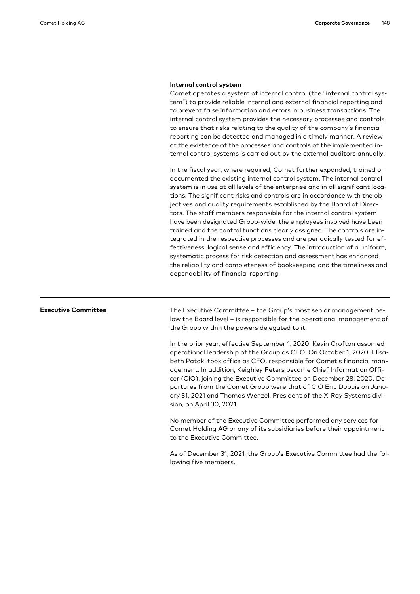#### Internal control system

Comet operates a system of internal control (the "internal control system") to provide reliable internal and external financial reporting and to prevent false information and errors in business transactions. The internal control system provides the necessary processes and controls to ensure that risks relating to the quality of the company's financial reporting can be detected and managed in a timely manner. A review of the existence of the processes and controls of the implemented internal control systems is carried out by the external auditors annually.

In the fiscal year, where required, Comet further expanded, trained or documented the existing internal control system. The internal control system is in use at all levels of the enterprise and in all significant locations. The significant risks and controls are in accordance with the objectives and quality requirements established by the Board of Directors. The staff members responsible for the internal control system have been designated Group-wide, the employees involved have been trained and the control functions clearly assigned. The controls are integrated in the respective processes and are periodically tested for effectiveness, logical sense and efficiency. The introduction of a uniform, systematic process for risk detection and assessment has enhanced the reliability and completeness of bookkeeping and the timeliness and dependability of financial reporting.

Executive Committee The Executive Committee – the Group's most senior management below the Board level – is responsible for the operational management of the Group within the powers delegated to it.

> In the prior year, effective September 1, 2020, Kevin Crofton assumed operational leadership of the Group as CEO. On October 1, 2020, Elisabeth Pataki took office as CFO, responsible for Comet's financial management. In addition, Keighley Peters became Chief Information Officer (CIO), joining the Executive Committee on December 28, 2020. Departures from the Comet Group were that of CIO Eric Dubuis on January 31, 2021 and Thomas Wenzel, President of the X-Ray Systems division, on April 30, 2021.

No member of the Executive Committee performed any services for Comet Holding AG or any of its subsidiaries before their appointment to the Executive Committee.

As of December 31, 2021, the Group's Executive Committee had the following five members.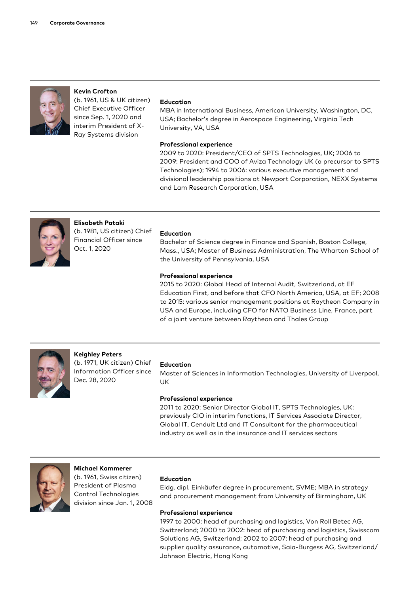

# Kevin Crofton (b. 1961, US & UK citizen)

Chief Executive Officer since Sep. 1, 2020 and interim President of X-Ray Systems division

#### Education

MBA in International Business, American University, Washington, DC, USA; Bachelor's degree in Aerospace Engineering, Virginia Tech University, VA, USA

#### Professional experience

2009 to 2020: President/CEO of SPTS Technologies, UK; 2006 to 2009: President and COO of Aviza Technology UK (a precursor to SPTS Technologies); 1994 to 2006: various executive management and divisional leadership positions at Newport Corporation, NEXX Systems and Lam Research Corporation, USA



Elisabeth Pataki (b. 1981, US citizen) Chief Financial Officer since

#### Education

Bachelor of Science degree in Finance and Spanish, Boston College, Mass., USA; Master of Business Administration, The Wharton School of the University of Pennsylvania, USA

### Professional experience

2015 to 2020: Global Head of Internal Audit, Switzerland, at EF Education First, and before that CFO North America, USA, at EF; 2008 to 2015: various senior management positions at Raytheon Company in USA and Europe, including CFO for NATO Business Line, France, part of a joint venture between Raytheon and Thales Group



#### Keighley Peters

(b. 1971, UK citizen) Chief Information Officer since Dec. 28, 2020

#### Education

Master of Sciences in Information Technologies, University of Liverpool, UK

#### Professional experience

2011 to 2020: Senior Director Global IT, SPTS Technologies, UK; previously CIO in interim functions, IT Services Associate Director, Global IT, Cenduit Ltd and IT Consultant for the pharmaceutical industry as well as in the insurance and IT services sectors



# Michael Kammerer

(b. 1961, Swiss citizen) President of Plasma Control Technologies division since Jan. 1, 2008

### Education

Eidg. dipl. Einkäufer degree in procurement, SVME; MBA in strategy and procurement management from University of Birmingham, UK

### Professional experience

1997 to 2000: head of purchasing and logistics, Von Roll Betec AG, Switzerland; 2000 to 2002: head of purchasing and logistics, Swisscom Solutions AG, Switzerland; 2002 to 2007: head of purchasing and supplier quality assurance, automotive, Saia-Burgess AG, Switzerland/ Johnson Electric, Hong Kong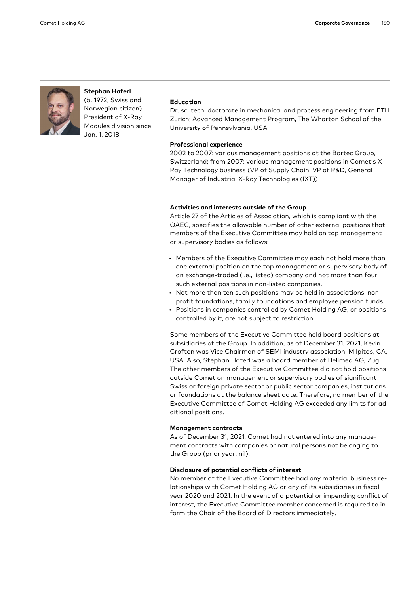

#### Stephan Haferl (b. 1972, Swiss and

Norwegian citizen) President of X-Ray Modules division since Jan. 1, 2018

#### Education

Dr. sc. tech. doctorate in mechanical and process engineering from ETH Zurich; Advanced Management Program, The Wharton School of the University of Pennsylvania, USA

#### Professional experience

2002 to 2007: various management positions at the Bartec Group, Switzerland; from 2007: various management positions in Comet's X-Ray Technology business (VP of Supply Chain, VP of R&D, General Manager of Industrial X-Ray Technologies (IXT))

#### Activities and interests outside of the Group

Article 27 of the Articles of Association, which is compliant with the OAEC, specifies the allowable number of other external positions that members of the Executive Committee may hold on top management or supervisory bodies as follows:

- Members of the Executive Committee may each not hold more than one external position on the top management or supervisory body of an exchange-traded (i.e., listed) company and not more than four such external positions in non-listed companies.
- Not more than ten such positions may be held in associations, nonprofit foundations, family foundations and employee pension funds.
- Positions in companies controlled by Comet Holding AG, or positions controlled by it, are not subject to restriction.

Some members of the Executive Committee hold board positions at subsidiaries of the Group. In addition, as of December 31, 2021, Kevin Crofton was Vice Chairman of SEMI industry association, Milpitas, CA, USA. Also, Stephan Haferl was a board member of Belimed AG, Zug. The other members of the Executive Committee did not hold positions outside Comet on management or supervisory bodies of significant Swiss or foreign private sector or public sector companies, institutions or foundations at the balance sheet date. Therefore, no member of the Executive Committee of Comet Holding AG exceeded any limits for additional positions.

#### Management contracts

As of December 31, 2021, Comet had not entered into any management contracts with companies or natural persons not belonging to the Group (prior year: nil).

#### Disclosure of potential conflicts of interest

No member of the Executive Committee had any material business relationships with Comet Holding AG or any of its subsidiaries in fiscal year 2020 and 2021. In the event of a potential or impending conflict of interest, the Executive Committee member concerned is required to inform the Chair of the Board of Directors immediately.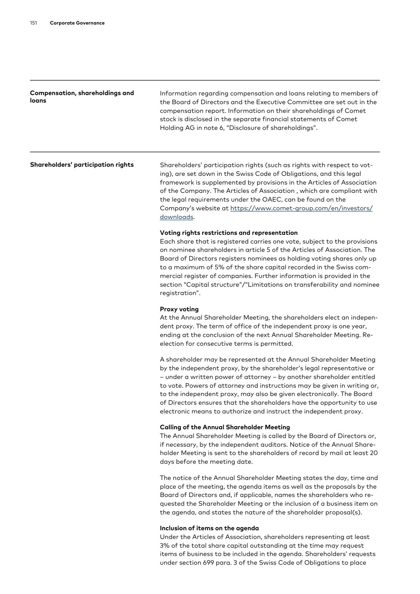| Compensation, shareholdings and<br>loans | Information regarding compensation and loans relating to members of<br>the Board of Directors and the Executive Committee are set out in the<br>compensation report. Information on their shareholdings of Comet<br>stock is disclosed in the separate financial statements of Comet<br>Holding AG in note 6, "Disclosure of shareholdings".                                                                                                                                                                                 |
|------------------------------------------|------------------------------------------------------------------------------------------------------------------------------------------------------------------------------------------------------------------------------------------------------------------------------------------------------------------------------------------------------------------------------------------------------------------------------------------------------------------------------------------------------------------------------|
| Shareholders' participation rights       | Shareholders' participation rights (such as rights with respect to vot-<br>ing), are set down in the Swiss Code of Obligations, and this legal<br>framework is supplemented by provisions in the Articles of Association<br>of the Company. The Articles of Association, which are compliant with<br>the legal requirements under the OAEC, can be found on the<br>Company's website at https://www.comet-group.com/en/investors/<br>downloads.                                                                              |
|                                          | Voting rights restrictions and representation<br>Each share that is registered carries one vote, subject to the provisions<br>on nominee shareholders in article 5 of the Articles of Association. The<br>Board of Directors registers nominees as holding voting shares only up<br>to a maximum of 5% of the share capital recorded in the Swiss com-<br>mercial register of companies. Further information is provided in the<br>section "Capital structure"/"Limitations on transferability and nominee<br>registration". |
|                                          | <b>Proxy voting</b><br>At the Annual Shareholder Meeting, the shareholders elect an indepen-<br>dent proxy. The term of office of the independent proxy is one year,<br>ending at the conclusion of the next Annual Shareholder Meeting. Re-<br>election for consecutive terms is permitted.                                                                                                                                                                                                                                 |
|                                          | A shareholder may be represented at the Annual Shareholder Meeting<br>by the independent proxy, by the shareholder's legal representative or<br>- under a written power of attorney - by another shareholder entitled<br>to vote. Powers of attorney and instructions may be given in writing or,<br>to the independent proxy, may also be given electronically. The Board<br>of Directors ensures that the shareholders have the opportunity to use<br>electronic means to authorize and instruct the independent proxy.    |
|                                          | <b>Calling of the Annual Shareholder Meeting</b><br>The Annual Shareholder Meeting is called by the Board of Directors or,<br>if necessary, by the independent auditors. Notice of the Annual Share-<br>holder Meeting is sent to the shareholders of record by mail at least 20<br>days before the meeting date.                                                                                                                                                                                                            |
|                                          | The notice of the Annual Shareholder Meeting states the day, time and<br>place of the meeting, the agenda items as well as the proposals by the<br>Board of Directors and, if applicable, names the shareholders who re-<br>quested the Shareholder Meeting or the inclusion of a business item on<br>the agenda, and states the nature of the shareholder proposal(s).                                                                                                                                                      |
|                                          | Inclusion of items on the agenda<br>Under the Articles of Association, shareholders representing at least<br>3% of the total share capital outstanding at the time may request                                                                                                                                                                                                                                                                                                                                               |

items of business to be included in the agenda. Shareholders' requests under section 699 para. 3 of the Swiss Code of Obligations to place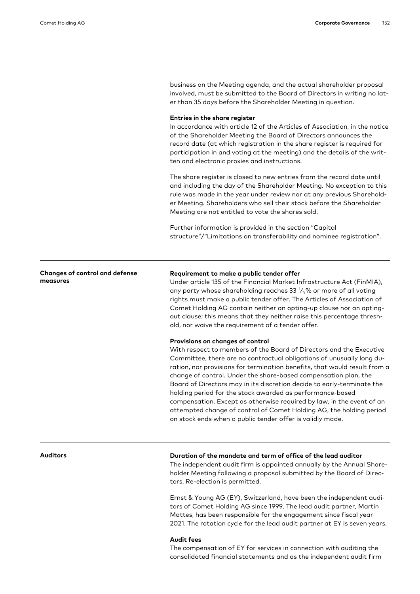business on the Meeting agenda, and the actual shareholder proposal involved, must be submitted to the Board of Directors in writing no later than 35 days before the Shareholder Meeting in question.

#### Entries in the share register

In accordance with article 12 of the Articles of Association, in the notice of the Shareholder Meeting the Board of Directors announces the record date (at which registration in the share register is required for participation in and voting at the meeting) and the details of the written and electronic proxies and instructions.

The share register is closed to new entries from the record date until and including the day of the Shareholder Meeting. No exception to this rule was made in the year under review nor at any previous Shareholder Meeting. Shareholders who sell their stock before the Shareholder Meeting are not entitled to vote the shares sold.

Further information is provided in the section "Capital structure"/"Limitations on transferability and nominee registration".

#### Changes of control and defense measures

#### Requirement to make a public tender offer

Under article 135 of the Financial Market Infrastructure Act (FinMIA), any party whose shareholding reaches 33  $\frac{1}{3}$ % or more of all voting rights must make a public tender offer. The Articles of Association of Comet Holding AG contain neither an opting-up clause nor an optingout clause; this means that they neither raise this percentage threshold, nor waive the requirement of a tender offer.

#### Provisions on changes of control

With respect to members of the Board of Directors and the Executive Committee, there are no contractual obligations of unusually long duration, nor provisions for termination benefits, that would result from a change of control. Under the share-based compensation plan, the Board of Directors may in its discretion decide to early-terminate the holding period for the stock awarded as performance-based compensation. Except as otherwise required by law, in the event of an attempted change of control of Comet Holding AG, the holding period on stock ends when a public tender offer is validly made.

### Auditors Duration of the mandate and term of office of the lead auditor

The independent audit firm is appointed annually by the Annual Shareholder Meeting following a proposal submitted by the Board of Directors. Re-election is permitted.

Ernst & Young AG (EY), Switzerland, have been the independent auditors of Comet Holding AG since 1999. The lead audit partner, Martin Mattes, has been responsible for the engagement since fiscal year 2021. The rotation cycle for the lead audit partner at EY is seven years.

### Audit fees

The compensation of EY for services in connection with auditing the consolidated financial statements and as the independent audit firm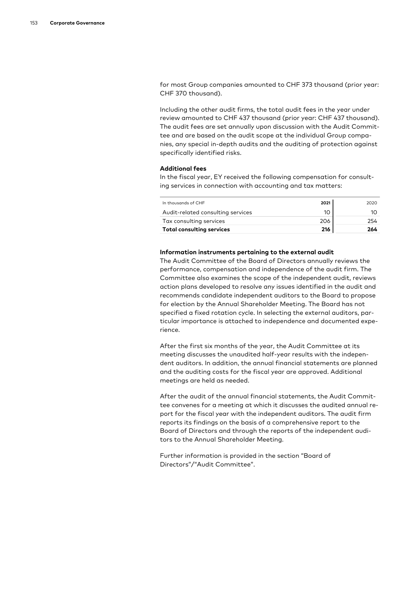for most Group companies amounted to CHF 373 thousand (prior year: CHF 370 thousand).

Including the other audit firms, the total audit fees in the year under review amounted to CHF 437 thousand (prior year: CHF 437 thousand). The audit fees are set annually upon discussion with the Audit Committee and are based on the audit scope at the individual Group companies, any special in-depth audits and the auditing of protection against specifically identified risks.

#### Additional fees

In the fiscal year, EY received the following compensation for consulting services in connection with accounting and tax matters:

| In thousands of CHE               | 2021 | 2020 |
|-----------------------------------|------|------|
| Audit-related consulting services |      | 10   |
| Tax consulting services           | 206  | 254  |
| <b>Total consulting services</b>  | 216  | 264  |

#### Information instruments pertaining to the external audit

The Audit Committee of the Board of Directors annually reviews the performance, compensation and independence of the audit firm. The Committee also examines the scope of the independent audit, reviews action plans developed to resolve any issues identified in the audit and recommends candidate independent auditors to the Board to propose for election by the Annual Shareholder Meeting. The Board has not specified a fixed rotation cycle. In selecting the external auditors, particular importance is attached to independence and documented experience.

After the first six months of the year, the Audit Committee at its meeting discusses the unaudited half-year results with the independent auditors. In addition, the annual financial statements are planned and the auditing costs for the fiscal year are approved. Additional meetings are held as needed.

After the audit of the annual financial statements, the Audit Committee convenes for a meeting at which it discusses the audited annual report for the fiscal year with the independent auditors. The audit firm reports its findings on the basis of a comprehensive report to the Board of Directors and through the reports of the independent auditors to the Annual Shareholder Meeting.

Further information is provided in the section "Board of Directors"/"Audit Committee".